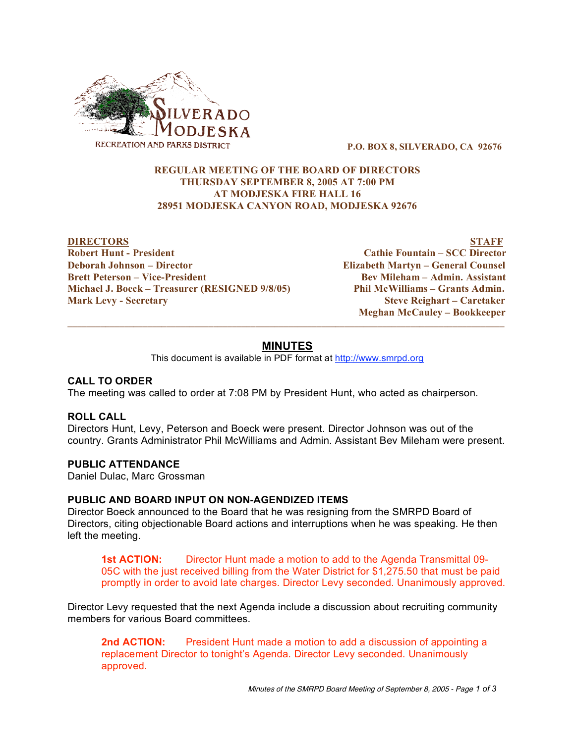

**P.O. BOX 8, SILVERADO, CA 92676**

### **REGULAR MEETING OF THE BOARD OF DIRECTORS THURSDAY SEPTEMBER 8, 2005 AT 7:00 PM AT MODJESKA FIRE HALL 16 28951 MODJESKA CANYON ROAD, MODJESKA 92676**

**DIRECTORS STAFF Robert Hunt - President Cathie Fountain – SCC Director Deborah Johnson – Director Elizabeth Martyn – General Counsel Brett Peterson – Vice-President Bev Mileham – Admin. Assistant Michael J. Boeck – Treasurer (RESIGNED 9/8/05) Phil McWilliams – Grants Admin. Mark Levy - Secretary Steve Reighart – Caretaker**

**Meghan McCauley – Bookkeeper**  $\overline{\phantom{a}}$  , and the contribution of the contribution of the contribution of the contribution of the contribution of the contribution of the contribution of the contribution of the contribution of the contribution of the

# **MINUTES**

This document is available in PDF format at http://www.smrpd.org

### **CALL TO ORDER**

The meeting was called to order at 7:08 PM by President Hunt, who acted as chairperson.

### **ROLL CALL**

Directors Hunt, Levy, Peterson and Boeck were present. Director Johnson was out of the country. Grants Administrator Phil McWilliams and Admin. Assistant Bev Mileham were present.

#### **PUBLIC ATTENDANCE**

Daniel Dulac, Marc Grossman

### **PUBLIC AND BOARD INPUT ON NON-AGENDIZED ITEMS**

Director Boeck announced to the Board that he was resigning from the SMRPD Board of Directors, citing objectionable Board actions and interruptions when he was speaking. He then left the meeting.

**1st ACTION:** Director Hunt made a motion to add to the Agenda Transmittal 09- 05C with the just received billing from the Water District for \$1,275.50 that must be paid promptly in order to avoid late charges. Director Levy seconded. Unanimously approved.

Director Levy requested that the next Agenda include a discussion about recruiting community members for various Board committees.

**2nd ACTION:** President Hunt made a motion to add a discussion of appointing a replacement Director to tonight's Agenda. Director Levy seconded. Unanimously approved.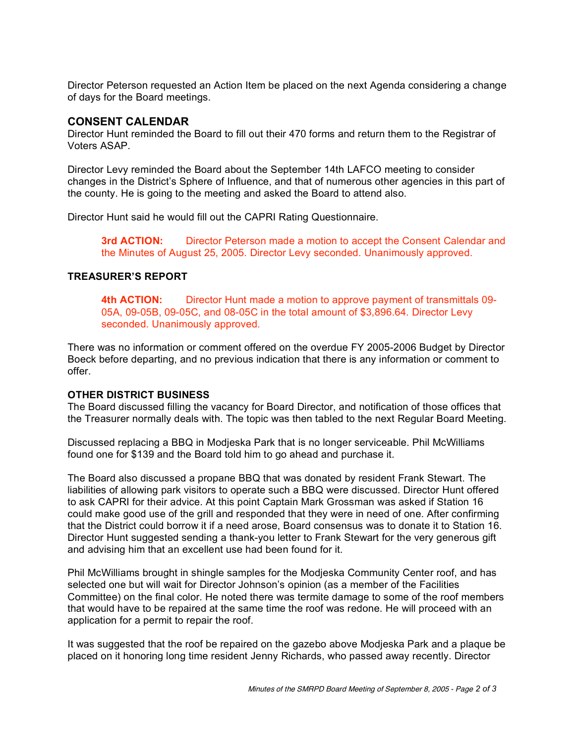Director Peterson requested an Action Item be placed on the next Agenda considering a change of days for the Board meetings.

# **CONSENT CALENDAR**

Director Hunt reminded the Board to fill out their 470 forms and return them to the Registrar of Voters ASAP.

Director Levy reminded the Board about the September 14th LAFCO meeting to consider changes in the District's Sphere of Influence, and that of numerous other agencies in this part of the county. He is going to the meeting and asked the Board to attend also.

Director Hunt said he would fill out the CAPRI Rating Questionnaire.

**3rd ACTION:** Director Peterson made a motion to accept the Consent Calendar and the Minutes of August 25, 2005. Director Levy seconded. Unanimously approved.

### **TREASURER'S REPORT**

**4th ACTION:** Director Hunt made a motion to approve payment of transmittals 09- 05A, 09-05B, 09-05C, and 08-05C in the total amount of \$3,896.64. Director Levy seconded. Unanimously approved.

There was no information or comment offered on the overdue FY 2005-2006 Budget by Director Boeck before departing, and no previous indication that there is any information or comment to offer.

### **OTHER DISTRICT BUSINESS**

The Board discussed filling the vacancy for Board Director, and notification of those offices that the Treasurer normally deals with. The topic was then tabled to the next Regular Board Meeting.

Discussed replacing a BBQ in Modjeska Park that is no longer serviceable. Phil McWilliams found one for \$139 and the Board told him to go ahead and purchase it.

The Board also discussed a propane BBQ that was donated by resident Frank Stewart. The liabilities of allowing park visitors to operate such a BBQ were discussed. Director Hunt offered to ask CAPRI for their advice. At this point Captain Mark Grossman was asked if Station 16 could make good use of the grill and responded that they were in need of one. After confirming that the District could borrow it if a need arose, Board consensus was to donate it to Station 16. Director Hunt suggested sending a thank-you letter to Frank Stewart for the very generous gift and advising him that an excellent use had been found for it.

Phil McWilliams brought in shingle samples for the Modjeska Community Center roof, and has selected one but will wait for Director Johnson's opinion (as a member of the Facilities Committee) on the final color. He noted there was termite damage to some of the roof members that would have to be repaired at the same time the roof was redone. He will proceed with an application for a permit to repair the roof.

It was suggested that the roof be repaired on the gazebo above Modjeska Park and a plaque be placed on it honoring long time resident Jenny Richards, who passed away recently. Director